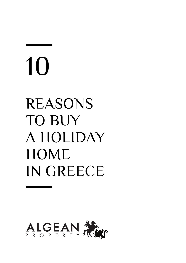# 10 REASONS TO BUY A HOLIDAY **HOME** IN GREECE

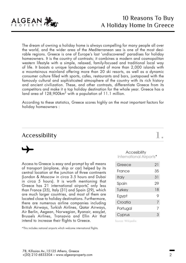

The dream of owning a holiday home is always compelling for many people all over the world, and the wider area of the Mediterranean sea is one of the most desirable regions. Greece is one of Europe's last 'undiscovered' paradises for holiday homeowners. It is the country of contrasts; it combines a modern and cosmopolitan western lifestyle with a simple, relaxed, family-focused and traditional local way of life. It boasts a unique landscape comprised of more than 2,000 islands with a mountainous mainland offering more than 20 ski resorts, as well as a dynamic consumer culture filled with sports, cafes, restaurants and bars, juxtaposed with the famously cultural and sophisticated atmosphere of the country with its rich history and ancient civilization. These, and other contrasts, differentiate Greece from its competitors and make it a top holiday destination for the whole year. Greece has a land area of 128,900km<sup>2</sup> with a population of 11.1 million.

According to these statistics, Greece scores highly on the most important factors for holiday homeowners :

#### Accessibility

Access to Greece is easy and prompt by all means of transport (airplane, ship or car) helped by its central location at the junction of three continents (London & Moscow in circa 3.5 hours and Dubai in circa 5 hours). It is worth mentioning that Greece has 21 international airports, only less than France (35), Italy (31) and Spain (29), which are much larger countries, and most of them are located close to holiday destinations. Furthermore, there are numerous airline companies including British Airways, Turkish Airlines, Qatar Airways, Air Berlin, Aegean, Norwegian, Ryanair, easyJet, Brussels Airlines, Transavia and Ellin Air that intend to increase their flights to Greece.

\*This includes national airports which welcome international flights.

#### **Accesibility**

International Airports \*

**1.**

| Greece   | 21 |
|----------|----|
| France   | 35 |
| Italy    | 31 |
| Spain    | 29 |
| Turkey   | 18 |
| Egypt    | 9  |
| Croatia  | 7  |
| Portugal | 7  |
| Cyprus   | З  |

Source: Wikipedia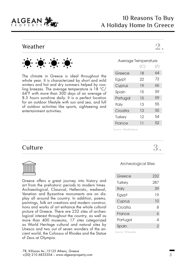

# Weather **2.**



The climate in Greece is ideal throughout the whole year. It is characterized by short and mild winters and hot and dry summers helped by cooling breezes. The average temperature is 18 °C/ 64°F with more than 300 days of an average of 8.5 hours sunshine daily. It is a perfect location for an outdoor lifestyle with sun and sea, and full of outdoor activities like sports, sightseeing and entertainment activities.

#### Average Temperature

|              | (C) | (F) |
|--------------|-----|-----|
| Greece       | 18  | 64  |
| Egypt        | 22  | 72  |
| Cyprus       | 19  | 66  |
| Spain        | 15  | 59  |
| Portugal     | 15  | 59  |
| <b>Italy</b> | 13  | 55  |
| Croatia      | 13  | 55  |
| Turkey       | 12  | 54  |
| France       | 11  | 52  |
|              |     |     |

Source: Weatherbase

# Culture **3.**



Greece offers a great journey into history and art from the prehistoric periods to modern times. Archaeological, Classical, Hellenistic, medieval, Venetian and Byzantine monuments are on display all around the country. In addition, poems, paintings, folk art creations and modern constructions and works of art enhance the whole cultural picture of Greece. There are 232 sites of archeological interest throughout the country, as well as more than 400 museums, 17 sites categorized as World Heritage cultural and natural sites by Unesco and two out of seven wonders of the ancient world, the Colossus of Rhodes and the Statue of Zeus at Olympia.

#### Archeological Sites

| Greece       | 232 |
|--------------|-----|
| Turkey       | 287 |
| <b>Italy</b> | 39  |
| Egypt        | 19  |
| Cyprus       | 10  |
| Croatia      | 8   |
| France       | 6   |
| Portugal     | Δ   |
| Spain        | 2   |

Source: Wikipedia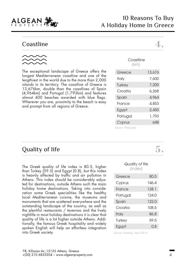

# Coastline **4.**



The exceptional landscape of Greece offers the longest Mediterranean coastline and one of the lengthiest in the world due to the more than 2,000 islands in its territory. The coastline of Greece is 13,676km, double than the coastlines of Spain (4,964km) and Portugal (1,793km) and features almost 400 beaches awarded with blue flags. Wherever you are, proximity to the beach is easy and prompt from all regions of Greece.

| Coastline<br>(km) |        |
|-------------------|--------|
| Greece            | 13,676 |
| Italy             | 7,600  |
| Turkey            | 7,200  |
| Croatia           | 6.268  |
| Spain             | 4,964  |
| France            | 4.853  |
| Egypt             | 2,450  |
| Portugal          | 1,793  |
| Cyprus            | 648    |
|                   |        |

Source: Wikipedia

#### Quality of life **5.**

The Greek quality of life index is 80.5, higher than Turkey (59.5) and Egypt (0.8), but this index is heavily affected by traffic and air pollution in Athens. This index should be considerably adjusted for destinations, outside Athens such the main holiday home destinations. Taking into consideration some Greek specialities like the healthy local Mediterranean cuisine, the museums and monuments that are scattered everywhere and the outstanding landscape of the country, as well as the plentiful restaurants / tavernas and the lively nightlife in most holiday destinations it is clear that quality of life is a lot higher outside Athens. Additionally, the famous Greek hospitality and widely spoken English will help an effortless integration **into Greek society.** The Source: Numbeo, April 2014

#### Quality of life (index)

| Greece       | 80.5  |
|--------------|-------|
| Cyprus       | 146.4 |
| France       | 128.1 |
| Portugal     | 124.0 |
| Spain        | 122.0 |
| Croatia      | 108.5 |
| <b>Italy</b> | 86.8  |
| Turkey       | 59.5  |
| Egypt        | 0.8   |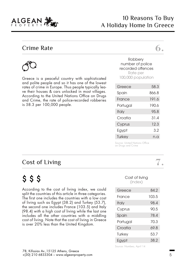

#### Crime Rate **6.**

Greece is a peaceful country with sophisticated and polite people and so it has one of the lowest rates of crime in Europe. Thus people typically leave their houses & cars unlocked in most villages. According to the United Nations Office on Drugs and Crime, the rate of police-recorded robberies is 58.3 per 100,000 people.

#### **Robbery** number of police recorded offences Rate per 100,000 population

| Greece       | 58.3  |
|--------------|-------|
| Spain        | 866.8 |
| France       | 191.6 |
| Portugal     | 190.6 |
| <b>Italy</b> | 95.8  |
| Croatia      | 31.4  |
| Cyprus       | 12.3  |
| Egypt        | 3.2   |
| Turkey       | n.a   |

Source: United Nations Office on Drugs and Crime

#### Cost of Living **7.**

# \$ \$ \$

According to the cost of living index, we could split the countries of this article in three categories. The first one includes the countries with a low cost of living such as Egypt (38.2) and Turkey (53.7), the second one includes France (103.5) and Italy (98.4) with a high cost of living while the last one includes all the other countries with a middling cost of living. Note that the cost of living in Greece is over 20% less than the United Kingdom.

#### Cost of living (index)

| Greece       | 84.2  |
|--------------|-------|
| France       | 103.5 |
| <b>Italy</b> | 98.4  |
| Cyprus       | 90.5  |
| Spain        | 78.4  |
| Portugal     | 70.3  |
| Croatia      | 69.8  |
| Turkey       | 53.7  |
| Egypt        | 38.2  |

Source: Numbeo, April 14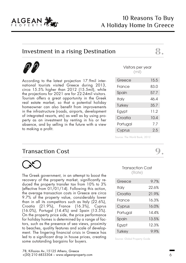

### 10 Reasons To Buy A Holiday Home In Greece

### Investment in a rising Destination **8.**



According to the latest projection 17.9mil international tourists visited Greece during 2013, circa 15.5% higher than 2012 (15.5mil), while the projections for 2021 are for 22-24mil visitors. Tourism offers a great opportunity in the Greek real estate market, so that a potential holiday homeowner can also benefit from improvements in the infrastructure (roads, airports, development of integrated resorts, etc) as well as by using property as an investment by renting in his or her absence, and by selling in the future with a view to making a profit.

#### Transaction Cost **9.**



The Greek government, in an attempt to boost the recovery of the property market, significantly reduced the property transfer tax from 10% to 3% (effective from 01/01/14). Following this action, the average transaction costs in Greece are circa 9.7% of the property value, considerably lower than in all its competitors such as Italy (22.6%), Croatia (21.9%), France (16.3%), Cyprus (16.0%), Portugal (14.4%) and Spain (13.5%). On the property price side, the price performance for holiday homes is determined by a range of factors, such as the presence of sea views, proximity to beaches, quality features and scale of development. The lingering financial crisis in Greece has led to a significant drop in house prices, creating some outstanding bargains for buyers. Colomny Source: Global Property Guide some outstanding bargains for buyers.

#### Visitors per year (mil)

| Greece   | 15.5 |
|----------|------|
| France   | 83.0 |
| Spain    | 57.7 |
| Italy    | 46.4 |
| Turkey   | 35.7 |
| Egypt    | 11.2 |
| Croatia  | 10.4 |
| Portugal | 7.7  |
| Cyprus   | 2.5  |

Source: The World Bank, 2012

#### Transaction Cost (Rate)

| Greece   | 9.7%  |
|----------|-------|
| Italy    | 22.6% |
| Croatia  | 21.9% |
| France   | 16.3% |
| Cyprus   | 16.0% |
| Portugal | 14.4% |
| Spain    | 13.5% |
| Egypt    | 12.3% |
| Turkey   | 9.9%  |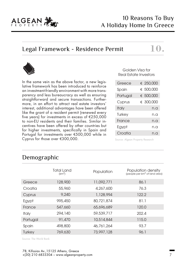

### 10 Reasons To Buy A Holiday Home In Greece

#### Legal Framework - Residence Permit

## **10.**



In the same vein as the above factor, a new legislative framework has been introduced to reinforce an investment-friendly environment with more transparency and less bureaucracy as well as ensuring straightforward and secure transactions. Furthermore, in an effort to attract real estate investors' interest, additional advantages have been offered like the grant of a resident permit (renewed every five years) for investments in excess of €250,000 to non-EU residents and their families. Similar incentives have been offered by other countries but for higher investments, specifically in Spain and Portugal for investments over €500,000 while in Cyprus for those over €300,000.

#### Golden Visa for Real Estate Investors

| Greece       | € 250,000 |
|--------------|-----------|
| Spain        | € 500,000 |
| Portugal     | € 500,000 |
| Cyprus       | € 300,000 |
| <b>Italy</b> | n.a       |
| Turkey       | n.a       |
| France       | n.a       |
| Egypt        | n.a       |
| Croatia      | n.a       |

Source: Algean Property Research

|              | <b>Total Land</b><br>(km <sup>2</sup> ) | Population | Population density<br>(people per km <sup>2</sup> of land area) |
|--------------|-----------------------------------------|------------|-----------------------------------------------------------------|
| Greece       | 128,900                                 | 11,092,771 | 86.1                                                            |
| Croatia      | 55,960                                  | 4,267,600  | 76.3                                                            |
| Cyprus       | 9,240                                   | 1,128,994  | 122.2                                                           |
| Egypt        | 995,450                                 | 80,721,874 | 81.1                                                            |
| France       | 547,660                                 | 65,696,689 | 120.0                                                           |
| <b>Italy</b> | 294,140                                 | 59,539,717 | 202.4                                                           |
| Portugal     | 91,470                                  | 10,514,844 | 115.0                                                           |
| Spain        | 498,800                                 | 46,761,264 | 93.7                                                            |
| Turkey       | 769,630                                 | 73,997,128 | 96.1                                                            |

#### Demographic

Source: The World Bank